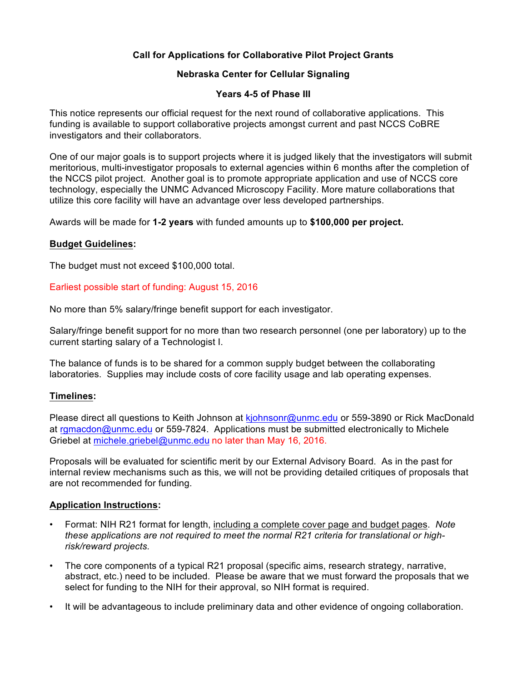# **Call for Applications for Collaborative Pilot Project Grants**

# **Nebraska Center for Cellular Signaling**

## **Years 4-5 of Phase III**

This notice represents our official request for the next round of collaborative applications. This funding is available to support collaborative projects amongst current and past NCCS CoBRE investigators and their collaborators.

One of our major goals is to support projects where it is judged likely that the investigators will submit meritorious, multi-investigator proposals to external agencies within 6 months after the completion of the NCCS pilot project. Another goal is to promote appropriate application and use of NCCS core technology, especially the UNMC Advanced Microscopy Facility. More mature collaborations that utilize this core facility will have an advantage over less developed partnerships.

Awards will be made for **1-2 years** with funded amounts up to **\$100,000 per project.**

## **Budget Guidelines:**

The budget must not exceed \$100,000 total.

## Earliest possible start of funding: August 15, 2016

No more than 5% salary/fringe benefit support for each investigator.

Salary/fringe benefit support for no more than two research personnel (one per laboratory) up to the current starting salary of a Technologist I.

The balance of funds is to be shared for a common supply budget between the collaborating laboratories. Supplies may include costs of core facility usage and lab operating expenses.

#### **Timelines:**

Please direct all questions to Keith Johnson at kjohnsonr@unmc.edu or 559-3890 or Rick MacDonald at rgmacdon@unmc.edu or 559-7824. Applications must be submitted electronically to Michele Griebel at michele.griebel@unmc.edu no later than May 16, 2016.

Proposals will be evaluated for scientific merit by our External Advisory Board. As in the past for internal review mechanisms such as this, we will not be providing detailed critiques of proposals that are not recommended for funding.

#### **Application Instructions:**

- Format: NIH R21 format for length, including a complete cover page and budget pages. *Note these applications are not required to meet the normal R21 criteria for translational or highrisk/reward projects.*
- *•* The core components of a typical R21 proposal (specific aims, research strategy, narrative, abstract, etc.) need to be included. Please be aware that we must forward the proposals that we select for funding to the NIH for their approval, so NIH format is required.
- It will be advantageous to include preliminary data and other evidence of ongoing collaboration.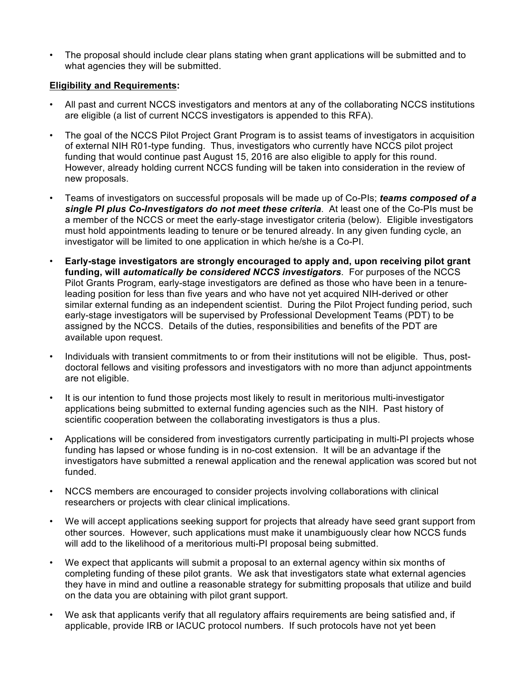• The proposal should include clear plans stating when grant applications will be submitted and to what agencies they will be submitted.

# **Eligibility and Requirements:**

- All past and current NCCS investigators and mentors at any of the collaborating NCCS institutions are eligible (a list of current NCCS investigators is appended to this RFA).
- The goal of the NCCS Pilot Project Grant Program is to assist teams of investigators in acquisition of external NIH R01-type funding. Thus, investigators who currently have NCCS pilot project funding that would continue past August 15, 2016 are also eligible to apply for this round. However, already holding current NCCS funding will be taken into consideration in the review of new proposals.
- Teams of investigators on successful proposals will be made up of Co-PIs; *teams composed of a single PI plus Co-Investigators do not meet these criteria*. At least one of the Co-PIs must be a member of the NCCS or meet the early-stage investigator criteria (below). Eligible investigators must hold appointments leading to tenure or be tenured already. In any given funding cycle, an investigator will be limited to one application in which he/she is a Co-PI.
- **Early-stage investigators are strongly encouraged to apply and, upon receiving pilot grant funding, will** *automatically be considered NCCS investigators*. For purposes of the NCCS Pilot Grants Program, early-stage investigators are defined as those who have been in a tenureleading position for less than five years and who have not yet acquired NIH-derived or other similar external funding as an independent scientist. During the Pilot Project funding period, such early-stage investigators will be supervised by Professional Development Teams (PDT) to be assigned by the NCCS. Details of the duties, responsibilities and benefits of the PDT are available upon request.
- Individuals with transient commitments to or from their institutions will not be eligible. Thus, postdoctoral fellows and visiting professors and investigators with no more than adjunct appointments are not eligible.
- It is our intention to fund those projects most likely to result in meritorious multi-investigator applications being submitted to external funding agencies such as the NIH. Past history of scientific cooperation between the collaborating investigators is thus a plus.
- Applications will be considered from investigators currently participating in multi-PI projects whose funding has lapsed or whose funding is in no-cost extension. It will be an advantage if the investigators have submitted a renewal application and the renewal application was scored but not funded.
- NCCS members are encouraged to consider projects involving collaborations with clinical researchers or projects with clear clinical implications.
- We will accept applications seeking support for projects that already have seed grant support from other sources. However, such applications must make it unambiguously clear how NCCS funds will add to the likelihood of a meritorious multi-PI proposal being submitted.
- We expect that applicants will submit a proposal to an external agency within six months of completing funding of these pilot grants. We ask that investigators state what external agencies they have in mind and outline a reasonable strategy for submitting proposals that utilize and build on the data you are obtaining with pilot grant support.
- We ask that applicants verify that all regulatory affairs requirements are being satisfied and, if applicable, provide IRB or IACUC protocol numbers. If such protocols have not yet been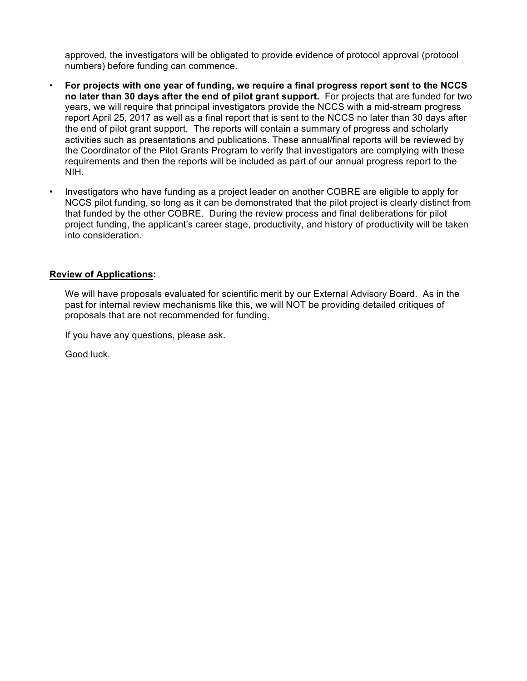approved, the investigators will be obligated to provide evidence of protocol approval (protocol numbers) before funding can commence.

- **For projects with one year of funding, we require a final progress report sent to the NCCS no later than 30 days after the end of pilot grant support.** For projects that are funded for two years, we will require that principal investigators provide the NCCS with a mid-stream progress report April 25, 2017 as well as a final report that is sent to the NCCS no later than 30 days after the end of pilot grant support. The reports will contain a summary of progress and scholarly activities such as presentations and publications. These annual/final reports will be reviewed by the Coordinator of the Pilot Grants Program to verify that investigators are complying with these requirements and then the reports will be included as part of our annual progress report to the NIH.
- Investigators who have funding as a project leader on another COBRE are eligible to apply for NCCS pilot funding, so long as it can be demonstrated that the pilot project is clearly distinct from that funded by the other COBRE. During the review process and final deliberations for pilot project funding, the applicant's career stage, productivity, and history of productivity will be taken into consideration.

# **Review of Applications:**

We will have proposals evaluated for scientific merit by our External Advisory Board. As in the past for internal review mechanisms like this, we will NOT be providing detailed critiques of proposals that are not recommended for funding.

If you have any questions, please ask.

Good luck.